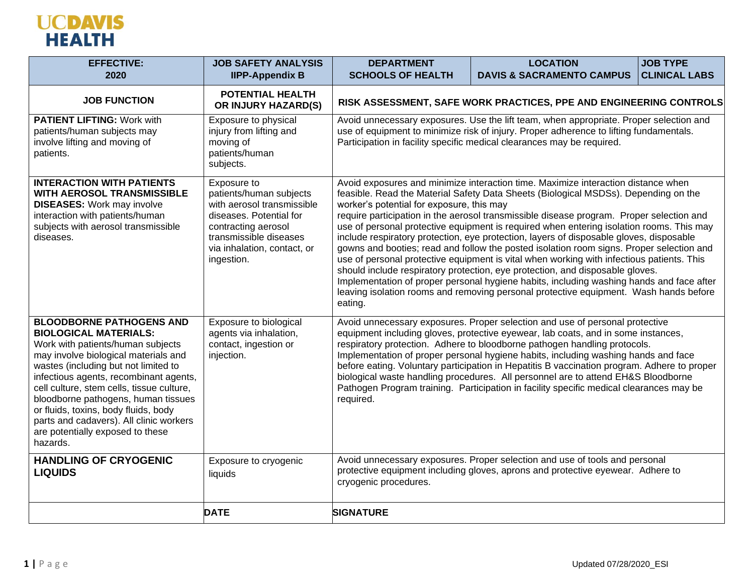

| <b>EFFECTIVE:</b><br>2020                                                                                                                                                                                                                                                                                                                                                                                                                             | <b>JOB SAFETY ANALYSIS</b><br><b>IIPP-Appendix B</b>                                                                                                                                          | <b>DEPARTMENT</b><br><b>SCHOOLS OF HEALTH</b>                                                                                                                                                                                                                                                                                                                                                                                                                                                                                                                                                                                    | <b>LOCATION</b><br><b>DAVIS &amp; SACRAMENTO CAMPUS</b>                                                                                                                                                                                                                                                                                                                                                                                                                                                                                                                                                                                                                                                                                                                                                                                                                                                                    | <b>JOB TYPE</b><br><b>CLINICAL LABS</b> |
|-------------------------------------------------------------------------------------------------------------------------------------------------------------------------------------------------------------------------------------------------------------------------------------------------------------------------------------------------------------------------------------------------------------------------------------------------------|-----------------------------------------------------------------------------------------------------------------------------------------------------------------------------------------------|----------------------------------------------------------------------------------------------------------------------------------------------------------------------------------------------------------------------------------------------------------------------------------------------------------------------------------------------------------------------------------------------------------------------------------------------------------------------------------------------------------------------------------------------------------------------------------------------------------------------------------|----------------------------------------------------------------------------------------------------------------------------------------------------------------------------------------------------------------------------------------------------------------------------------------------------------------------------------------------------------------------------------------------------------------------------------------------------------------------------------------------------------------------------------------------------------------------------------------------------------------------------------------------------------------------------------------------------------------------------------------------------------------------------------------------------------------------------------------------------------------------------------------------------------------------------|-----------------------------------------|
| <b>JOB FUNCTION</b>                                                                                                                                                                                                                                                                                                                                                                                                                                   | <b>POTENTIAL HEALTH</b><br>OR INJURY HAZARD(S)                                                                                                                                                | RISK ASSESSMENT, SAFE WORK PRACTICES, PPE AND ENGINEERING CONTROLS                                                                                                                                                                                                                                                                                                                                                                                                                                                                                                                                                               |                                                                                                                                                                                                                                                                                                                                                                                                                                                                                                                                                                                                                                                                                                                                                                                                                                                                                                                            |                                         |
| <b>PATIENT LIFTING: Work with</b><br>patients/human subjects may<br>involve lifting and moving of<br>patients.                                                                                                                                                                                                                                                                                                                                        | Exposure to physical<br>injury from lifting and<br>moving of<br>patients/human<br>subjects.                                                                                                   | Avoid unnecessary exposures. Use the lift team, when appropriate. Proper selection and<br>use of equipment to minimize risk of injury. Proper adherence to lifting fundamentals.<br>Participation in facility specific medical clearances may be required.                                                                                                                                                                                                                                                                                                                                                                       |                                                                                                                                                                                                                                                                                                                                                                                                                                                                                                                                                                                                                                                                                                                                                                                                                                                                                                                            |                                         |
| <b>INTERACTION WITH PATIENTS</b><br><b>WITH AEROSOL TRANSMISSIBLE</b><br><b>DISEASES:</b> Work may involve<br>interaction with patients/human<br>subjects with aerosol transmissible<br>diseases.                                                                                                                                                                                                                                                     | Exposure to<br>patients/human subjects<br>with aerosol transmissible<br>diseases. Potential for<br>contracting aerosol<br>transmissible diseases<br>via inhalation, contact, or<br>ingestion. | worker's potential for exposure, this may<br>eating.                                                                                                                                                                                                                                                                                                                                                                                                                                                                                                                                                                             | Avoid exposures and minimize interaction time. Maximize interaction distance when<br>feasible. Read the Material Safety Data Sheets (Biological MSDSs). Depending on the<br>require participation in the aerosol transmissible disease program. Proper selection and<br>use of personal protective equipment is required when entering isolation rooms. This may<br>include respiratory protection, eye protection, layers of disposable gloves, disposable<br>gowns and booties; read and follow the posted isolation room signs. Proper selection and<br>use of personal protective equipment is vital when working with infectious patients. This<br>should include respiratory protection, eye protection, and disposable gloves.<br>Implementation of proper personal hygiene habits, including washing hands and face after<br>leaving isolation rooms and removing personal protective equipment. Wash hands before |                                         |
| <b>BLOODBORNE PATHOGENS AND</b><br><b>BIOLOGICAL MATERIALS:</b><br>Work with patients/human subjects<br>may involve biological materials and<br>wastes (including but not limited to<br>infectious agents, recombinant agents,<br>cell culture, stem cells, tissue culture,<br>bloodborne pathogens, human tissues<br>or fluids, toxins, body fluids, body<br>parts and cadavers). All clinic workers<br>are potentially exposed to these<br>hazards. | Exposure to biological<br>agents via inhalation,<br>contact, ingestion or<br>injection.                                                                                                       | Avoid unnecessary exposures. Proper selection and use of personal protective<br>equipment including gloves, protective eyewear, lab coats, and in some instances,<br>respiratory protection. Adhere to bloodborne pathogen handling protocols.<br>Implementation of proper personal hygiene habits, including washing hands and face<br>before eating. Voluntary participation in Hepatitis B vaccination program. Adhere to proper<br>biological waste handling procedures. All personnel are to attend EH&S Bloodborne<br>Pathogen Program training. Participation in facility specific medical clearances may be<br>required. |                                                                                                                                                                                                                                                                                                                                                                                                                                                                                                                                                                                                                                                                                                                                                                                                                                                                                                                            |                                         |
| <b>HANDLING OF CRYOGENIC</b><br><b>LIQUIDS</b>                                                                                                                                                                                                                                                                                                                                                                                                        | Exposure to cryogenic<br>liquids                                                                                                                                                              | Avoid unnecessary exposures. Proper selection and use of tools and personal<br>protective equipment including gloves, aprons and protective eyewear. Adhere to<br>cryogenic procedures.                                                                                                                                                                                                                                                                                                                                                                                                                                          |                                                                                                                                                                                                                                                                                                                                                                                                                                                                                                                                                                                                                                                                                                                                                                                                                                                                                                                            |                                         |
|                                                                                                                                                                                                                                                                                                                                                                                                                                                       | <b>DATE</b>                                                                                                                                                                                   | <b>SIGNATURE</b>                                                                                                                                                                                                                                                                                                                                                                                                                                                                                                                                                                                                                 |                                                                                                                                                                                                                                                                                                                                                                                                                                                                                                                                                                                                                                                                                                                                                                                                                                                                                                                            |                                         |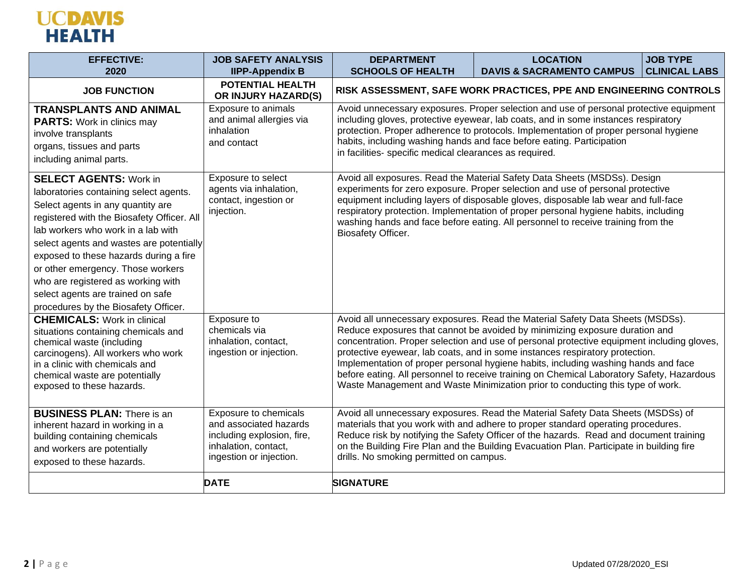## **UCDAVIS**<br>HEALTH

| <b>EFFECTIVE:</b>                                                                                                                                                                                                                                                                                                                                                                                                                              | <b>JOB SAFETY ANALYSIS</b>                                                                                                       | <b>DEPARTMENT</b>                                                                                                                                                                                                                                                                                                                                                                                        | <b>LOCATION</b>                                                                                                                                                                                                                                                                                                                                                                                                                                                                                                                                                                                                  | <b>JOB TYPE</b>      |
|------------------------------------------------------------------------------------------------------------------------------------------------------------------------------------------------------------------------------------------------------------------------------------------------------------------------------------------------------------------------------------------------------------------------------------------------|----------------------------------------------------------------------------------------------------------------------------------|----------------------------------------------------------------------------------------------------------------------------------------------------------------------------------------------------------------------------------------------------------------------------------------------------------------------------------------------------------------------------------------------------------|------------------------------------------------------------------------------------------------------------------------------------------------------------------------------------------------------------------------------------------------------------------------------------------------------------------------------------------------------------------------------------------------------------------------------------------------------------------------------------------------------------------------------------------------------------------------------------------------------------------|----------------------|
| 2020                                                                                                                                                                                                                                                                                                                                                                                                                                           | <b>IIPP-Appendix B</b>                                                                                                           | <b>SCHOOLS OF HEALTH</b>                                                                                                                                                                                                                                                                                                                                                                                 | <b>DAVIS &amp; SACRAMENTO CAMPUS</b>                                                                                                                                                                                                                                                                                                                                                                                                                                                                                                                                                                             | <b>CLINICAL LABS</b> |
| <b>JOB FUNCTION</b>                                                                                                                                                                                                                                                                                                                                                                                                                            | <b>POTENTIAL HEALTH</b><br>OR INJURY HAZARD(S)                                                                                   | RISK ASSESSMENT, SAFE WORK PRACTICES, PPE AND ENGINEERING CONTROLS                                                                                                                                                                                                                                                                                                                                       |                                                                                                                                                                                                                                                                                                                                                                                                                                                                                                                                                                                                                  |                      |
| <b>TRANSPLANTS AND ANIMAL</b><br><b>PARTS:</b> Work in clinics may<br>involve transplants<br>organs, tissues and parts<br>including animal parts.                                                                                                                                                                                                                                                                                              | Exposure to animals<br>and animal allergies via<br>inhalation<br>and contact                                                     | Avoid unnecessary exposures. Proper selection and use of personal protective equipment<br>including gloves, protective eyewear, lab coats, and in some instances respiratory<br>protection. Proper adherence to protocols. Implementation of proper personal hygiene<br>habits, including washing hands and face before eating. Participation<br>in facilities- specific medical clearances as required. |                                                                                                                                                                                                                                                                                                                                                                                                                                                                                                                                                                                                                  |                      |
| <b>SELECT AGENTS: Work in</b><br>laboratories containing select agents.<br>Select agents in any quantity are<br>registered with the Biosafety Officer. All<br>lab workers who work in a lab with<br>select agents and wastes are potentially<br>exposed to these hazards during a fire<br>or other emergency. Those workers<br>who are registered as working with<br>select agents are trained on safe<br>procedures by the Biosafety Officer. | Exposure to select<br>agents via inhalation,<br>contact, ingestion or<br>injection.                                              | Biosafety Officer.                                                                                                                                                                                                                                                                                                                                                                                       | Avoid all exposures. Read the Material Safety Data Sheets (MSDSs). Design<br>experiments for zero exposure. Proper selection and use of personal protective<br>equipment including layers of disposable gloves, disposable lab wear and full-face<br>respiratory protection. Implementation of proper personal hygiene habits, including<br>washing hands and face before eating. All personnel to receive training from the                                                                                                                                                                                     |                      |
| <b>CHEMICALS:</b> Work in clinical<br>situations containing chemicals and<br>chemical waste (including<br>carcinogens). All workers who work<br>in a clinic with chemicals and<br>chemical waste are potentially<br>exposed to these hazards.                                                                                                                                                                                                  | Exposure to<br>chemicals via<br>inhalation, contact,<br>ingestion or injection.                                                  |                                                                                                                                                                                                                                                                                                                                                                                                          | Avoid all unnecessary exposures. Read the Material Safety Data Sheets (MSDSs).<br>Reduce exposures that cannot be avoided by minimizing exposure duration and<br>concentration. Proper selection and use of personal protective equipment including gloves,<br>protective eyewear, lab coats, and in some instances respiratory protection.<br>Implementation of proper personal hygiene habits, including washing hands and face<br>before eating. All personnel to receive training on Chemical Laboratory Safety, Hazardous<br>Waste Management and Waste Minimization prior to conducting this type of work. |                      |
| <b>BUSINESS PLAN: There is an</b><br>inherent hazard in working in a<br>building containing chemicals<br>and workers are potentially<br>exposed to these hazards.                                                                                                                                                                                                                                                                              | Exposure to chemicals<br>and associated hazards<br>including explosion, fire,<br>inhalation, contact,<br>ingestion or injection. | Avoid all unnecessary exposures. Read the Material Safety Data Sheets (MSDSs) of<br>materials that you work with and adhere to proper standard operating procedures.<br>Reduce risk by notifying the Safety Officer of the hazards. Read and document training<br>on the Building Fire Plan and the Building Evacuation Plan. Participate in building fire<br>drills. No smoking permitted on campus.    |                                                                                                                                                                                                                                                                                                                                                                                                                                                                                                                                                                                                                  |                      |
|                                                                                                                                                                                                                                                                                                                                                                                                                                                | <b>DATE</b>                                                                                                                      | <b>SIGNATURE</b>                                                                                                                                                                                                                                                                                                                                                                                         |                                                                                                                                                                                                                                                                                                                                                                                                                                                                                                                                                                                                                  |                      |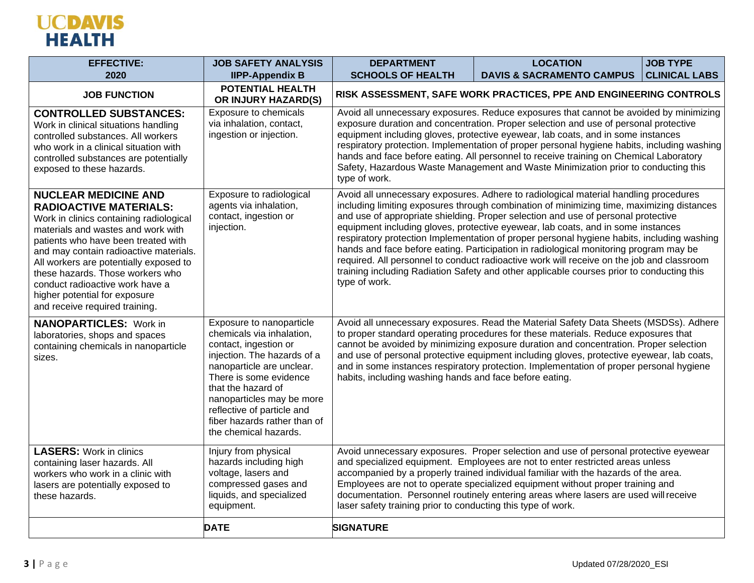## **UCDAVIS**<br>HEALTH

| <b>EFFECTIVE:</b><br>2020                                                                                                                                                                                                                                                                                                                                                                                          | <b>JOB SAFETY ANALYSIS</b><br><b>IIPP-Appendix B</b>                                                                                                                                                                                                                                                           | <b>DEPARTMENT</b><br><b>SCHOOLS OF HEALTH</b>                                                                                                                                                                                                                                                                                                                                                                                                                                                                                                                      | <b>LOCATION</b><br><b>DAVIS &amp; SACRAMENTO CAMPUS</b>                                                                                                                                                                                                                                                                                                                                                                                                                                                                                                                                                                                                                                                                                     | <b>JOB TYPE</b><br><b>CLINICAL LABS</b> |
|--------------------------------------------------------------------------------------------------------------------------------------------------------------------------------------------------------------------------------------------------------------------------------------------------------------------------------------------------------------------------------------------------------------------|----------------------------------------------------------------------------------------------------------------------------------------------------------------------------------------------------------------------------------------------------------------------------------------------------------------|--------------------------------------------------------------------------------------------------------------------------------------------------------------------------------------------------------------------------------------------------------------------------------------------------------------------------------------------------------------------------------------------------------------------------------------------------------------------------------------------------------------------------------------------------------------------|---------------------------------------------------------------------------------------------------------------------------------------------------------------------------------------------------------------------------------------------------------------------------------------------------------------------------------------------------------------------------------------------------------------------------------------------------------------------------------------------------------------------------------------------------------------------------------------------------------------------------------------------------------------------------------------------------------------------------------------------|-----------------------------------------|
| <b>JOB FUNCTION</b>                                                                                                                                                                                                                                                                                                                                                                                                | <b>POTENTIAL HEALTH</b><br>OR INJURY HAZARD(S)                                                                                                                                                                                                                                                                 |                                                                                                                                                                                                                                                                                                                                                                                                                                                                                                                                                                    | RISK ASSESSMENT, SAFE WORK PRACTICES, PPE AND ENGINEERING CONTROLS                                                                                                                                                                                                                                                                                                                                                                                                                                                                                                                                                                                                                                                                          |                                         |
| <b>CONTROLLED SUBSTANCES:</b><br>Work in clinical situations handling<br>controlled substances. All workers<br>who work in a clinical situation with<br>controlled substances are potentially<br>exposed to these hazards.                                                                                                                                                                                         | Exposure to chemicals<br>via inhalation, contact,<br>ingestion or injection.                                                                                                                                                                                                                                   | Avoid all unnecessary exposures. Reduce exposures that cannot be avoided by minimizing<br>exposure duration and concentration. Proper selection and use of personal protective<br>equipment including gloves, protective eyewear, lab coats, and in some instances<br>respiratory protection. Implementation of proper personal hygiene habits, including washing<br>hands and face before eating. All personnel to receive training on Chemical Laboratory<br>Safety, Hazardous Waste Management and Waste Minimization prior to conducting this<br>type of work. |                                                                                                                                                                                                                                                                                                                                                                                                                                                                                                                                                                                                                                                                                                                                             |                                         |
| <b>NUCLEAR MEDICINE AND</b><br><b>RADIOACTIVE MATERIALS:</b><br>Work in clinics containing radiological<br>materials and wastes and work with<br>patients who have been treated with<br>and may contain radioactive materials.<br>All workers are potentially exposed to<br>these hazards. Those workers who<br>conduct radioactive work have a<br>higher potential for exposure<br>and receive required training. | Exposure to radiological<br>agents via inhalation,<br>contact, ingestion or<br>injection.                                                                                                                                                                                                                      | type of work.                                                                                                                                                                                                                                                                                                                                                                                                                                                                                                                                                      | Avoid all unnecessary exposures. Adhere to radiological material handling procedures<br>including limiting exposures through combination of minimizing time, maximizing distances<br>and use of appropriate shielding. Proper selection and use of personal protective<br>equipment including gloves, protective eyewear, lab coats, and in some instances<br>respiratory protection Implementation of proper personal hygiene habits, including washing<br>hands and face before eating. Participation in radiological monitoring program may be<br>required. All personnel to conduct radioactive work will receive on the job and classroom<br>training including Radiation Safety and other applicable courses prior to conducting this |                                         |
| <b>NANOPARTICLES:</b> Work in<br>laboratories, shops and spaces<br>containing chemicals in nanoparticle<br>sizes.                                                                                                                                                                                                                                                                                                  | Exposure to nanoparticle<br>chemicals via inhalation,<br>contact, ingestion or<br>injection. The hazards of a<br>nanoparticle are unclear.<br>There is some evidence<br>that the hazard of<br>nanoparticles may be more<br>reflective of particle and<br>fiber hazards rather than of<br>the chemical hazards. | habits, including washing hands and face before eating.                                                                                                                                                                                                                                                                                                                                                                                                                                                                                                            | Avoid all unnecessary exposures. Read the Material Safety Data Sheets (MSDSs). Adhere<br>to proper standard operating procedures for these materials. Reduce exposures that<br>cannot be avoided by minimizing exposure duration and concentration. Proper selection<br>and use of personal protective equipment including gloves, protective eyewear, lab coats,<br>and in some instances respiratory protection. Implementation of proper personal hygiene                                                                                                                                                                                                                                                                                |                                         |
| <b>LASERS: Work in clinics</b><br>containing laser hazards. All<br>workers who work in a clinic with<br>lasers are potentially exposed to<br>these hazards.                                                                                                                                                                                                                                                        | Injury from physical<br>hazards including high<br>voltage, lasers and<br>compressed gases and<br>liquids, and specialized<br>equipment.                                                                                                                                                                        | laser safety training prior to conducting this type of work.                                                                                                                                                                                                                                                                                                                                                                                                                                                                                                       | Avoid unnecessary exposures. Proper selection and use of personal protective eyewear<br>and specialized equipment. Employees are not to enter restricted areas unless<br>accompanied by a properly trained individual familiar with the hazards of the area.<br>Employees are not to operate specialized equipment without proper training and<br>documentation. Personnel routinely entering areas where lasers are used will receive                                                                                                                                                                                                                                                                                                      |                                         |
|                                                                                                                                                                                                                                                                                                                                                                                                                    | <b>DATE</b>                                                                                                                                                                                                                                                                                                    | <b>SIGNATURE</b>                                                                                                                                                                                                                                                                                                                                                                                                                                                                                                                                                   |                                                                                                                                                                                                                                                                                                                                                                                                                                                                                                                                                                                                                                                                                                                                             |                                         |